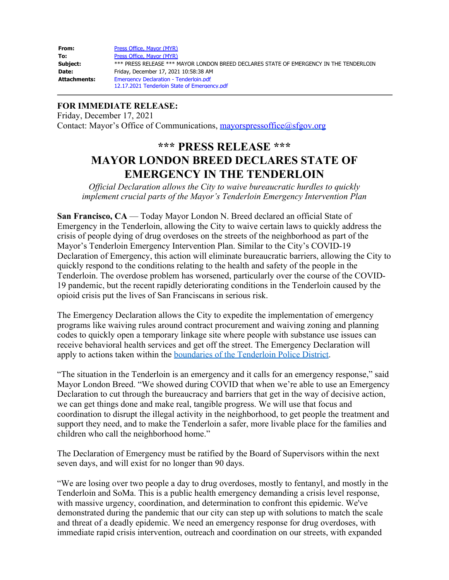| From:        | Press Office, Mayor (MYR)                                                              |
|--------------|----------------------------------------------------------------------------------------|
| To:          | Press Office, Mayor (MYR)                                                              |
| Subject:     | *** PRESS RELEASE *** MAYOR LONDON BREED DECLARES STATE OF EMERGENCY IN THE TENDERLOIN |
| Date:        | Friday, December 17, 2021 10:58:38 AM                                                  |
| Attachments: | <b>Emergency Declaration - Tenderloin.pdf</b>                                          |
|              | 12.17.2021 Tenderloin State of Emergency.pdf                                           |

## **FOR IMMEDIATE RELEASE:**

Friday, December 17, 2021 Contact: Mayor's Office of Communications, [mayorspressoffice@sfgov.org](mailto:mayorspressoffice@sfgov.org)

## **\*\*\* PRESS RELEASE \*\*\* MAYOR LONDON BREED DECLARES STATE OF EMERGENCY IN THE TENDERLOIN**

*Official Declaration allows the City to waive bureaucratic hurdles to quickly implement crucial parts of the Mayor's Tenderloin Emergency Intervention Plan*

**San Francisco, CA** — Today Mayor London N. Breed declared an official State of Emergency in the Tenderloin, allowing the City to waive certain laws to quickly address the crisis of people dying of drug overdoses on the streets of the neighborhood as part of the Mayor's Tenderloin Emergency Intervention Plan. Similar to the City's COVID-19 Declaration of Emergency, this action will eliminate bureaucratic barriers, allowing the City to quickly respond to the conditions relating to the health and safety of the people in the Tenderloin. The overdose problem has worsened, particularly over the course of the COVID-19 pandemic, but the recent rapidly deteriorating conditions in the Tenderloin caused by the opioid crisis put the lives of San Franciscans in serious risk.

The Emergency Declaration allows the City to expedite the implementation of emergency programs like waiving rules around contract procurement and waiving zoning and planning codes to quickly open a temporary linkage site where people with substance use issues can receive behavioral health services and get off the street. The Emergency Declaration will apply to actions taken within the [boundaries of the Tenderloin Police District](https://sfgov.org/policecommission/sites/default/files/Citywide_District_Map.pdf).

"The situation in the Tenderloin is an emergency and it calls for an emergency response," said Mayor London Breed. "We showed during COVID that when we're able to use an Emergency Declaration to cut through the bureaucracy and barriers that get in the way of decisive action, we can get things done and make real, tangible progress. We will use that focus and coordination to disrupt the illegal activity in the neighborhood, to get people the treatment and support they need, and to make the Tenderloin a safer, more livable place for the families and children who call the neighborhood home."

The Declaration of Emergency must be ratified by the Board of Supervisors within the next seven days, and will exist for no longer than 90 days.

"We are losing over two people a day to drug overdoses, mostly to fentanyl, and mostly in the Tenderloin and SoMa. This is a public health emergency demanding a crisis level response, with massive urgency, coordination, and determination to confront this epidemic. We've demonstrated during the pandemic that our city can step up with solutions to match the scale and threat of a deadly epidemic. We need an emergency response for drug overdoses, with immediate rapid crisis intervention, outreach and coordination on our streets, with expanded